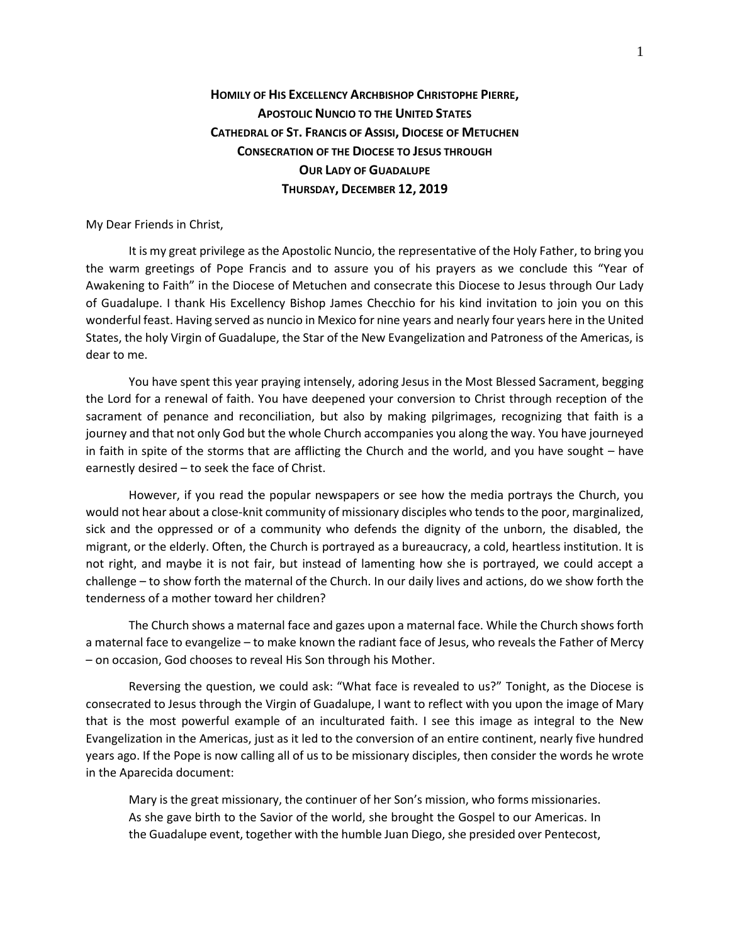## **HOMILY OF HIS EXCELLENCY ARCHBISHOP CHRISTOPHE PIERRE, APOSTOLIC NUNCIO TO THE UNITED STATES CATHEDRAL OF ST. FRANCIS OF ASSISI, DIOCESE OF METUCHEN CONSECRATION OF THE DIOCESE TO JESUS THROUGH OUR LADY OF GUADALUPE THURSDAY, DECEMBER 12, 2019**

My Dear Friends in Christ,

It is my great privilege as the Apostolic Nuncio, the representative of the Holy Father, to bring you the warm greetings of Pope Francis and to assure you of his prayers as we conclude this "Year of Awakening to Faith" in the Diocese of Metuchen and consecrate this Diocese to Jesus through Our Lady of Guadalupe. I thank His Excellency Bishop James Checchio for his kind invitation to join you on this wonderful feast. Having served as nuncio in Mexico for nine years and nearly four years here in the United States, the holy Virgin of Guadalupe, the Star of the New Evangelization and Patroness of the Americas, is dear to me.

You have spent this year praying intensely, adoring Jesus in the Most Blessed Sacrament, begging the Lord for a renewal of faith. You have deepened your conversion to Christ through reception of the sacrament of penance and reconciliation, but also by making pilgrimages, recognizing that faith is a journey and that not only God but the whole Church accompanies you along the way. You have journeyed in faith in spite of the storms that are afflicting the Church and the world, and you have sought – have earnestly desired – to seek the face of Christ.

However, if you read the popular newspapers or see how the media portrays the Church, you would not hear about a close-knit community of missionary disciples who tends to the poor, marginalized, sick and the oppressed or of a community who defends the dignity of the unborn, the disabled, the migrant, or the elderly. Often, the Church is portrayed as a bureaucracy, a cold, heartless institution. It is not right, and maybe it is not fair, but instead of lamenting how she is portrayed, we could accept a challenge – to show forth the maternal of the Church. In our daily lives and actions, do we show forth the tenderness of a mother toward her children?

The Church shows a maternal face and gazes upon a maternal face. While the Church shows forth a maternal face to evangelize – to make known the radiant face of Jesus, who reveals the Father of Mercy – on occasion, God chooses to reveal His Son through his Mother.

Reversing the question, we could ask: "What face is revealed to us?" Tonight, as the Diocese is consecrated to Jesus through the Virgin of Guadalupe, I want to reflect with you upon the image of Mary that is the most powerful example of an inculturated faith. I see this image as integral to the New Evangelization in the Americas, just as it led to the conversion of an entire continent, nearly five hundred years ago. If the Pope is now calling all of us to be missionary disciples, then consider the words he wrote in the Aparecida document:

Mary is the great missionary, the continuer of her Son's mission, who forms missionaries. As she gave birth to the Savior of the world, she brought the Gospel to our Americas. In the Guadalupe event, together with the humble Juan Diego, she presided over Pentecost,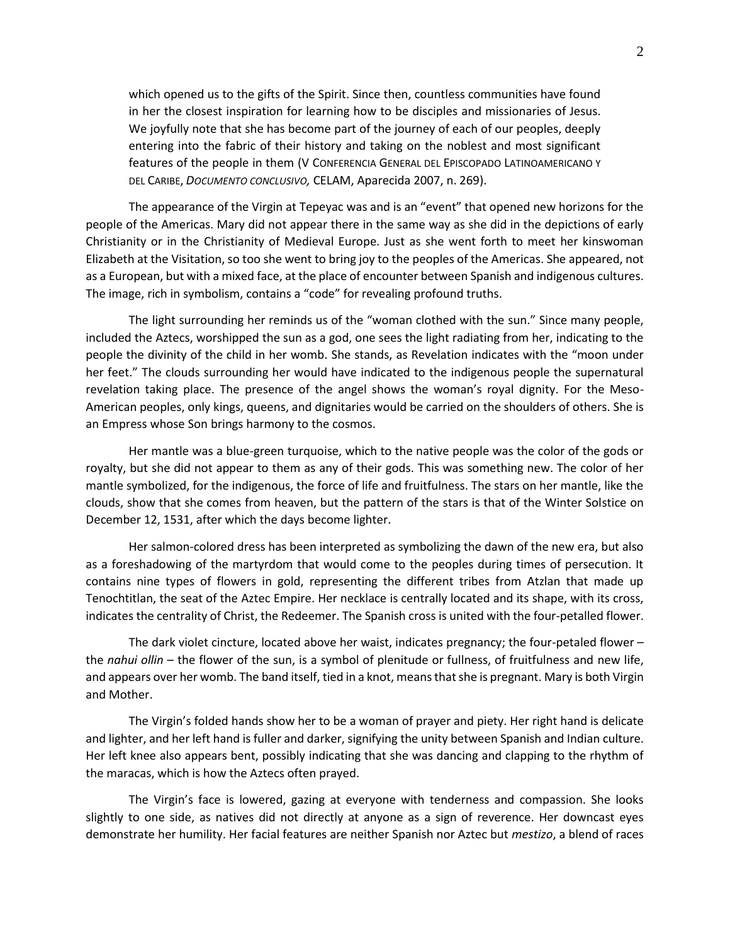which opened us to the gifts of the Spirit. Since then, countless communities have found in her the closest inspiration for learning how to be disciples and missionaries of Jesus. We joyfully note that she has become part of the journey of each of our peoples, deeply entering into the fabric of their history and taking on the noblest and most significant features of the people in them (V CONFERENCIA GENERAL DEL EPISCOPADO LATINOAMERICANO Y DEL CARIBE, *DOCUMENTO CONCLUSIVO,* CELAM, Aparecida 2007, n. 269).

The appearance of the Virgin at Tepeyac was and is an "event" that opened new horizons for the people of the Americas. Mary did not appear there in the same way as she did in the depictions of early Christianity or in the Christianity of Medieval Europe. Just as she went forth to meet her kinswoman Elizabeth at the Visitation, so too she went to bring joy to the peoples of the Americas. She appeared, not as a European, but with a mixed face, at the place of encounter between Spanish and indigenous cultures. The image, rich in symbolism, contains a "code" for revealing profound truths.

The light surrounding her reminds us of the "woman clothed with the sun." Since many people, included the Aztecs, worshipped the sun as a god, one sees the light radiating from her, indicating to the people the divinity of the child in her womb. She stands, as Revelation indicates with the "moon under her feet." The clouds surrounding her would have indicated to the indigenous people the supernatural revelation taking place. The presence of the angel shows the woman's royal dignity. For the Meso-American peoples, only kings, queens, and dignitaries would be carried on the shoulders of others. She is an Empress whose Son brings harmony to the cosmos.

Her mantle was a blue-green turquoise, which to the native people was the color of the gods or royalty, but she did not appear to them as any of their gods. This was something new. The color of her mantle symbolized, for the indigenous, the force of life and fruitfulness. The stars on her mantle, like the clouds, show that she comes from heaven, but the pattern of the stars is that of the Winter Solstice on December 12, 1531, after which the days become lighter.

Her salmon-colored dress has been interpreted as symbolizing the dawn of the new era, but also as a foreshadowing of the martyrdom that would come to the peoples during times of persecution. It contains nine types of flowers in gold, representing the different tribes from Atzlan that made up Tenochtitlan, the seat of the Aztec Empire. Her necklace is centrally located and its shape, with its cross, indicates the centrality of Christ, the Redeemer. The Spanish cross is united with the four-petalled flower.

The dark violet cincture, located above her waist, indicates pregnancy; the four-petaled flower – the *nahui ollin* – the flower of the sun, is a symbol of plenitude or fullness, of fruitfulness and new life, and appears over her womb. The band itself, tied in a knot, means that she is pregnant. Mary is both Virgin and Mother.

The Virgin's folded hands show her to be a woman of prayer and piety. Her right hand is delicate and lighter, and her left hand is fuller and darker, signifying the unity between Spanish and Indian culture. Her left knee also appears bent, possibly indicating that she was dancing and clapping to the rhythm of the maracas, which is how the Aztecs often prayed.

The Virgin's face is lowered, gazing at everyone with tenderness and compassion. She looks slightly to one side, as natives did not directly at anyone as a sign of reverence. Her downcast eyes demonstrate her humility. Her facial features are neither Spanish nor Aztec but *mestizo*, a blend of races